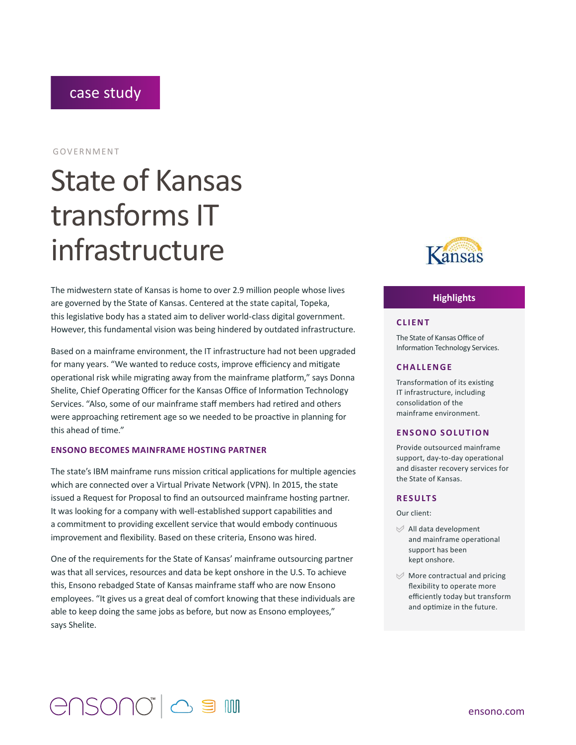### case study

#### GOVERNMENT

# State of Kansas transforms IT infrastructure

The midwestern state of Kansas is home to over 2.9 million people whose lives are governed by the State of Kansas. Centered at the state capital, Topeka, this legislative body has a stated aim to deliver world-class digital government. However, this fundamental vision was being hindered by outdated infrastructure.

Based on a mainframe environment, the IT infrastructure had not been upgraded for many years. "We wanted to reduce costs, improve efficiency and mitigate operational risk while migrating away from the mainframe platform," says Donna Shelite, Chief Operating Officer for the Kansas Office of Information Technology Services. "Also, some of our mainframe staff members had retired and others were approaching retirement age so we needed to be proactive in planning for this ahead of time."

#### **ENSONO BECOMES MAINFRAME HOSTING PARTNER**

The state's IBM mainframe runs mission critical applications for multiple agencies which are connected over a Virtual Private Network (VPN). In 2015, the state issued a Request for Proposal to find an outsourced mainframe hosting partner. It was looking for a company with well-established support capabilities and a commitment to providing excellent service that would embody continuous improvement and flexibility. Based on these criteria, Ensono was hired.

One of the requirements for the State of Kansas' mainframe outsourcing partner was that all services, resources and data be kept onshore in the U.S. To achieve this, Ensono rebadged State of Kansas mainframe staff who are now Ensono employees. "It gives us a great deal of comfort knowing that these individuals are able to keep doing the same jobs as before, but now as Ensono employees," says Shelite.



#### **Highlights**

#### **CLIENT**

The State of Kansas Office of Information Technology Services.

#### **CHALLENGE**

Transformation of its existing IT infrastructure, including consolidation of the mainframe environment.

#### **ENSONO SOLUTION**

Provide outsourced mainframe support, day-to-day operational and disaster recovery services for the State of Kansas.

#### **RESULTS**

Our client:

- $\mathcal{A}$  All data development and mainframe operational support has been kept onshore.
- $\mathcal{A}$  More contractual and pricing flexibility to operate more efficiently today but transform and optimize in the future.

## GUSOUQ, Q ª M